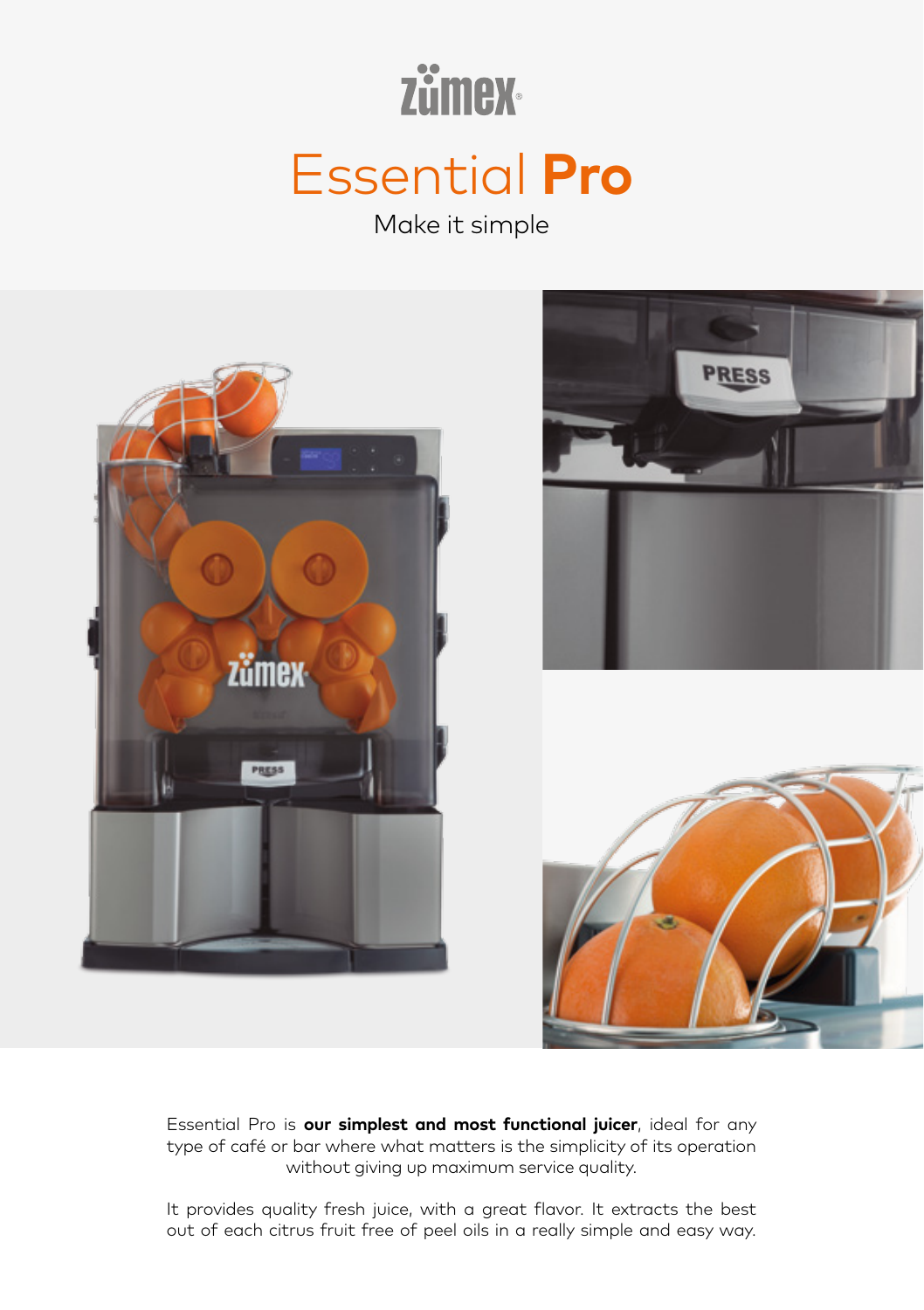# **Zümex** Essential **Pro**

Make it simple



Essential Pro is **our simplest and most functional juicer**, ideal for any type of café or bar where what matters is the simplicity of its operation without giving up maximum service quality.

It provides quality fresh juice, with a great flavor. It extracts the best out of each citrus fruit free of peel oils in a really simple and easy way.